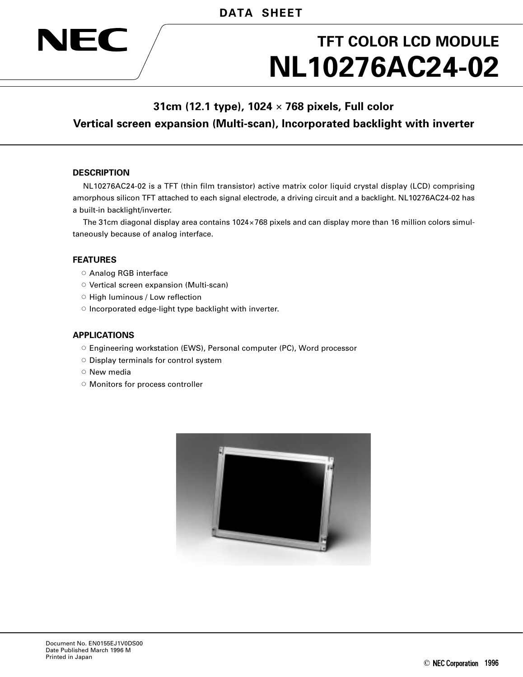# **NL10276AC24-02 TFT COLOR LCD MODULE**

# **31cm (12.1 type), 1024** × **768 pixels, Full color Vertical screen expansion (Multi-scan), Incorporated backlight with inverter**

# **DESCRIPTION**

JEC

NL10276AC24-02 is a TFT (thin film transistor) active matrix color liquid crystal display (LCD) comprising amorphous silicon TFT attached to each signal electrode, a driving circuit and a backlight. NL10276AC24-02 has a built-in backlight/inverter.

The 31cm diagonal display area contains 1024×768 pixels and can display more than 16 million colors simultaneously because of analog interface.

#### **FEATURES**

- Analog RGB interface
- Vertical screen expansion (Multi-scan)
- High luminous / Low reflection
- Incorporated edge-light type backlight with inverter.

# **APPLICATIONS**

- Engineering workstation (EWS), Personal computer (PC), Word processor
- Display terminals for control system
- New media
- Monitors for process controller

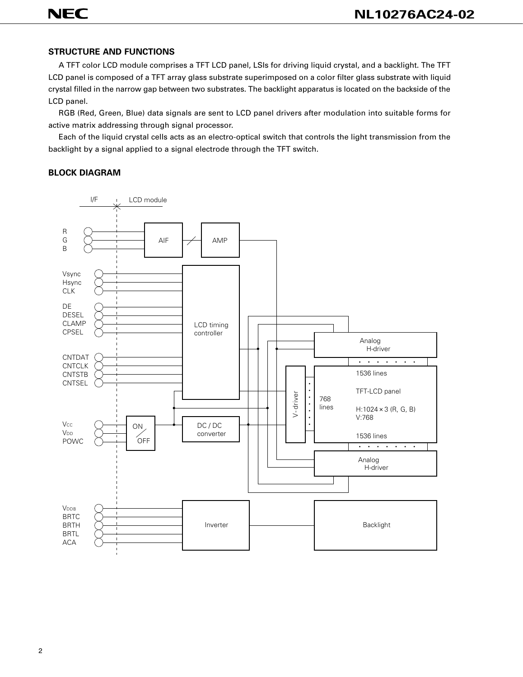# **STRUCTURE AND FUNCTIONS**

A TFT color LCD module comprises a TFT LCD panel, LSIs for driving liquid crystal, and a backlight. The TFT LCD panel is composed of a TFT array glass substrate superimposed on a color filter glass substrate with liquid crystal filled in the narrow gap between two substrates. The backlight apparatus is located on the backside of the LCD panel.

RGB (Red, Green, Blue) data signals are sent to LCD panel drivers after modulation into suitable forms for active matrix addressing through signal processor.

Each of the liquid crystal cells acts as an electro-optical switch that controls the light transmission from the backlight by a signal applied to a signal electrode through the TFT switch.

#### **BLOCK DIAGRAM**

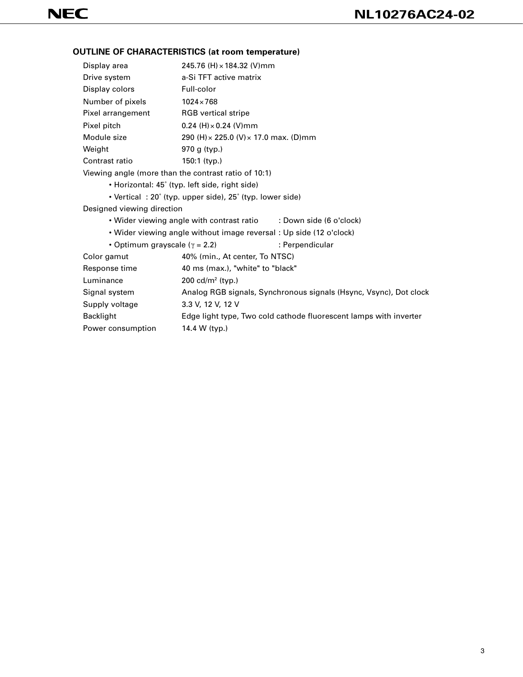# **OUTLINE OF CHARACTERISTICS (at room temperature)**

| Display area                                         | 245.76 (H) × 184.32 (V)mm                                           |                                                                   |
|------------------------------------------------------|---------------------------------------------------------------------|-------------------------------------------------------------------|
| Drive system                                         | a-Si TFT active matrix                                              |                                                                   |
| Display colors                                       | Full-color                                                          |                                                                   |
| Number of pixels                                     | $1024 \times 768$                                                   |                                                                   |
| Pixel arrangement                                    | <b>RGB</b> vertical stripe                                          |                                                                   |
| Pixel pitch                                          | $0.24$ (H) $\times$ 0.24 (V) mm                                     |                                                                   |
| Module size                                          | 290 (H) × 225.0 (V) × 17.0 max. (D) mm                              |                                                                   |
| Weight                                               | 970 g $(typ.)$                                                      |                                                                   |
| Contrast ratio                                       | $150:1$ (typ.)                                                      |                                                                   |
| Viewing angle (more than the contrast ratio of 10:1) |                                                                     |                                                                   |
|                                                      | • Horizontal: 45° (typ. left side, right side)                      |                                                                   |
|                                                      | • Vertical: 20° (typ. upper side), 25° (typ. lower side)            |                                                                   |
| Designed viewing direction                           |                                                                     |                                                                   |
|                                                      | • Wider viewing angle with contrast ratio : Down side (6 o'clock)   |                                                                   |
|                                                      | . Wider viewing angle without image reversal : Up side (12 o'clock) |                                                                   |
| • Optimum grayscale ( $\gamma$ = 2.2)                |                                                                     | : Perpendicular                                                   |
| Color gamut                                          | 40% (min., At center, To NTSC)                                      |                                                                   |
| Response time                                        | 40 ms (max.), "white" to "black"                                    |                                                                   |
| Luminance                                            | 200 $cd/m^2$ (typ.)                                                 |                                                                   |
| Signal system                                        |                                                                     | Analog RGB signals, Synchronous signals (Hsync, Vsync), Dot clock |
| Supply voltage                                       | 3.3 V, 12 V, 12 V                                                   |                                                                   |
| <b>Backlight</b>                                     |                                                                     | Edge light type, Two cold cathode fluorescent lamps with inverter |
| Power consumption                                    | 14.4 W (typ.)                                                       |                                                                   |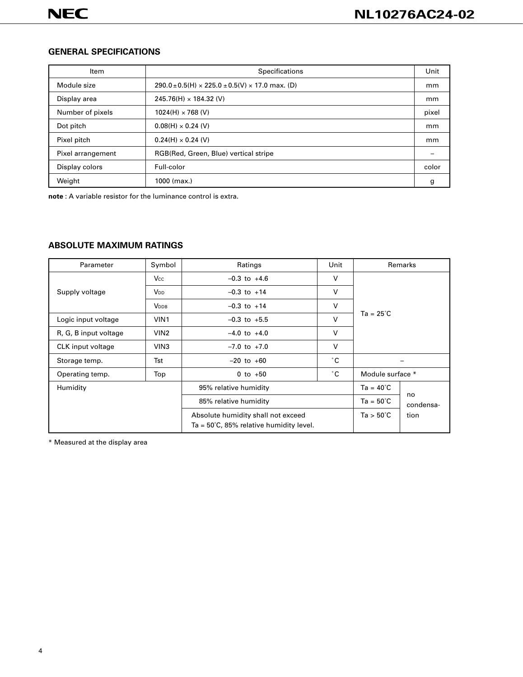# **GENERAL SPECIFICATIONS**

| Item              | <b>Specifications</b>                                    | Unit  |
|-------------------|----------------------------------------------------------|-------|
| Module size       | $290.0 \pm 0.5$ (H) × 225.0 $\pm$ 0.5(V) × 17.0 max. (D) | mm    |
| Display area      | $245.76(H) \times 184.32 (V)$                            | mm    |
| Number of pixels  | $1024(H) \times 768$ (V)                                 | pixel |
| Dot pitch         | $0.08(H) \times 0.24$ (V)                                | mm    |
| Pixel pitch       | $0.24(H) \times 0.24$ (V)                                | mm    |
| Pixel arrangement | RGB(Red, Green, Blue) vertical stripe                    |       |
| Display colors    | Full-color                                               | color |
| Weight            | $1000$ (max.)                                            | g     |

**note** : A variable resistor for the luminance control is extra.

# **ABSOLUTE MAXIMUM RATINGS**

| Parameter             | Symbol                | Unit<br>Ratings                                   |                    |                    | Remarks |
|-----------------------|-----------------------|---------------------------------------------------|--------------------|--------------------|---------|
|                       | <b>Vcc</b>            | $-0.3$ to $+4.6$                                  | V                  |                    |         |
| Supply voltage        | <b>V<sub>DD</sub></b> | $-0.3$ to $+14$                                   | V                  |                    |         |
|                       | <b>VDDB</b>           | $-0.3$ to $+14$                                   | V                  |                    |         |
| Logic input voltage   | VIN <sub>1</sub>      | $\vee$<br>$-0.3$ to $+5.5$                        |                    | $Ta = 25^{\circ}C$ |         |
| R, G, B input voltage | VIN2                  | $-4.0$ to $+4.0$                                  | V                  |                    |         |
| CLK input voltage     | VIN <sub>3</sub>      | V<br>$-7.0$ to $+7.0$                             |                    |                    |         |
| Storage temp.         | Tst                   | $-20$ to $+60$                                    | °С                 |                    |         |
| Operating temp.       | Top                   | 0 to $+50$                                        | ۰с                 | Module surface *   |         |
| Humidity              |                       | 95% relative humidity                             |                    | $Ta = 40^{\circ}C$ |         |
|                       |                       | 85% relative humidity                             | $Ta = 50^{\circ}C$ | no<br>condensa-    |         |
|                       |                       | Absolute humidity shall not exceed                |                    | $Ta > 50^{\circ}C$ | tion    |
|                       |                       | $Ta = 50^{\circ}C$ , 85% relative humidity level. |                    |                    |         |

\* Measured at the display area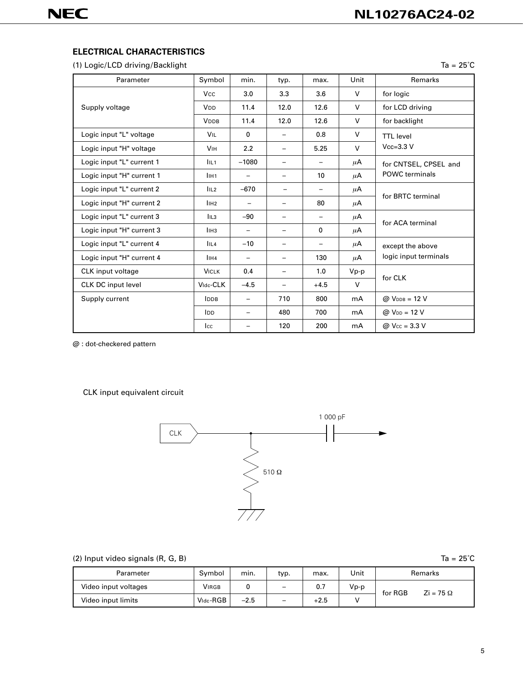# **ELECTRICAL CHARACTERISTICS**

(1) Logic/LCD driving/Backlight Ta = 25<sup>°</sup>C

| Parameter                 | Symbol                | min.                     | typ.                     | max.                     | Unit    | Remarks                           |  |
|---------------------------|-----------------------|--------------------------|--------------------------|--------------------------|---------|-----------------------------------|--|
|                           | <b>Vcc</b>            | 3.0                      | 3.3                      | 3.6                      | V       | for logic                         |  |
| Supply voltage            | V <sub>DD</sub>       | 11.4                     | 12.0                     | 12.6                     | V       | for LCD driving                   |  |
|                           | <b>VDDB</b>           | 11.4                     | 12.0                     | 12.6                     | $\vee$  | for backlight                     |  |
| Logic input "L" voltage   | <b>VIL</b>            | $\mathbf{0}$             | $\overline{\phantom{0}}$ | 0.8                      | V       | <b>TTL</b> level                  |  |
| Logic input "H" voltage   | <b>V<sub>IH</sub></b> | 2.2                      | $\qquad \qquad -$        | 5.25                     | V       | $Vcc=3.3$ V                       |  |
| Logic input "L" current 1 | IIL <sub>1</sub>      | $-1080$                  | $\qquad \qquad -$        | $\overline{\phantom{0}}$ | $\mu$ A | for CNTSEL, CPSEL and             |  |
| Logic input "H" current 1 | IIH <sub>1</sub>      |                          | $\overline{\phantom{0}}$ | 10                       | $\mu$ A | <b>POWC</b> terminals             |  |
| Logic input "L" current 2 | IIL2                  | $-670$                   | -                        | $\overline{\phantom{0}}$ | $\mu$ A | for BRTC terminal                 |  |
| Logic input "H" current 2 | I <sub>1H2</sub>      |                          | -                        | 80                       | μA      |                                   |  |
| Logic input "L" current 3 | IIL <sub>3</sub>      | $-90$                    | -                        | $\overline{\phantom{0}}$ | $\mu$ A | for ACA terminal                  |  |
| Logic input "H" current 3 | l <sub>IH3</sub>      | $\overline{\phantom{m}}$ | $\overline{\phantom{0}}$ | 0                        | $\mu$ A |                                   |  |
| Logic input "L" current 4 | IIL <sub>4</sub>      | $-10$                    | $\overline{\phantom{m}}$ | $\qquad \qquad -$        | $\mu$ A | except the above                  |  |
| Logic input "H" current 4 | l <sub>IH4</sub>      | $\overline{\phantom{m}}$ | -                        | 130                      | $\mu$ A | logic input terminals             |  |
| CLK input voltage         | <b>VICLK</b>          | 0.4                      | $\overline{\phantom{0}}$ | 1.0                      | $Vp-p$  |                                   |  |
| <b>CLK DC input level</b> | Vidc-CLK              | $-4.5$                   | -                        | $+4.5$                   | $\vee$  | for CLK                           |  |
| Supply current            | <b>IDDB</b>           | $\overline{\phantom{a}}$ | 710                      | 800                      | mA      | $@V_{DDB} = 12 V$                 |  |
|                           | IDD                   | $\overline{\phantom{m}}$ | 480                      | 700                      | mA      | $@V_{DD} = 12 V$                  |  |
|                           | $_{\rm lcc}$          |                          | 120                      | 200                      | mA      | @ $V_{\text{cc}} = 3.3 \text{ V}$ |  |

@ : dot-checkered pattern

CLK input equivalent circuit



| (2) Input video signals (R, G, B) |        |      |                          |      |      | $Ta = 25^{\circ}C$                        |
|-----------------------------------|--------|------|--------------------------|------|------|-------------------------------------------|
| Parameter                         | Symbol | min. | typ.                     | max. | Unit | <b>Remarks</b>                            |
| Video input voltages              | VIRGB  |      | $\overline{\phantom{0}}$ | 0.7  | Vp-p | for RGB<br>$\overline{Z}$ i = 75 $\Omega$ |
|                                   |        |      |                          |      |      |                                           |

Video input limits  $\vert$  Vidc-RGB  $\vert$  -2.5  $\vert$  -  $\vert$  +2.5  $\vert$  V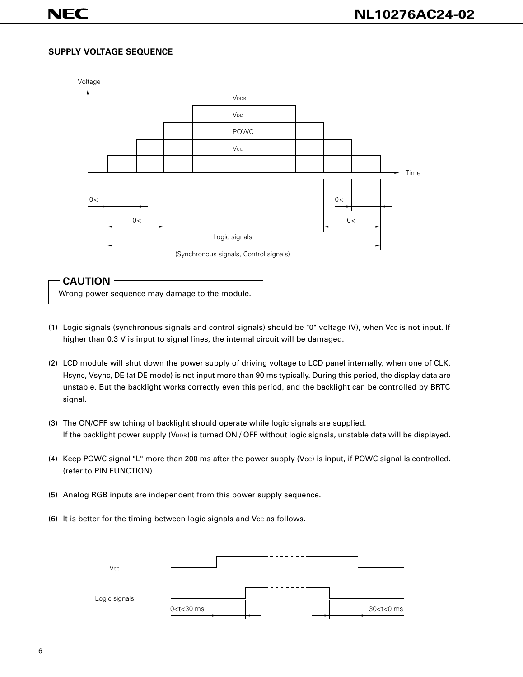# **SUPPLY VOLTAGE SEQUENCE**



# **CAUTION**

Wrong power sequence may damage to the module.

- (1) Logic signals (synchronous signals and control signals) should be "0" voltage (V), when Vcc is not input. If higher than 0.3 V is input to signal lines, the internal circuit will be damaged.
- (2) LCD module will shut down the power supply of driving voltage to LCD panel internally, when one of CLK, Hsync, Vsync, DE (at DE mode) is not input more than 90 ms typically. During this period, the display data are unstable. But the backlight works correctly even this period, and the backlight can be controlled by BRTC signal.
- (3) The ON/OFF switching of backlight should operate while logic signals are supplied. If the backlight power supply (V<sub>DDB</sub>) is turned ON / OFF without logic signals, unstable data will be displayed.
- (4) Keep POWC signal "L" more than 200 ms after the power supply (Vcc) is input, if POWC signal is controlled. (refer to PIN FUNCTION)
- (5) Analog RGB inputs are independent from this power supply sequence.
- (6) It is better for the timing between logic signals and Vcc as follows.

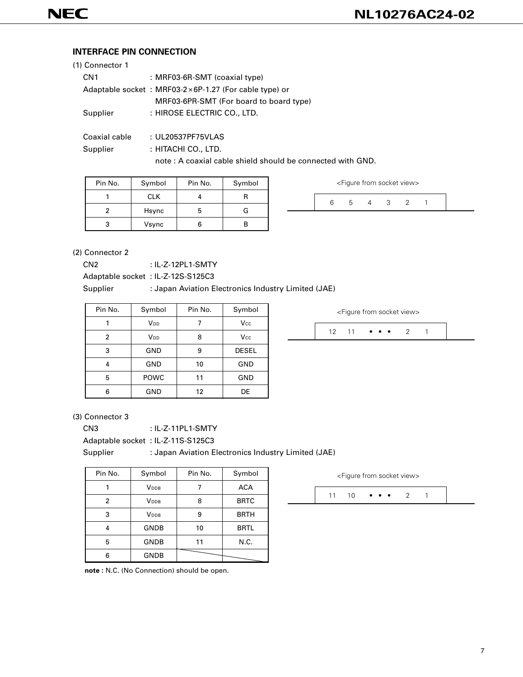# **INTERFACE PIN CONNECTION**

| (1) Connector 1 |                                                                 |
|-----------------|-----------------------------------------------------------------|
| CN <sub>1</sub> | : MRF03-6R-SMT (coaxial type)                                   |
|                 | Adaptable socket : MRF03-2 $\times$ 6P-1.27 (For cable type) or |
|                 | MRF03-6PR-SMT (For board to board type)                         |
| Supplier        | : HIROSE ELECTRIC CO., LTD.                                     |
|                 |                                                                 |
| Coaxial cable   | : UL20537PF75VLAS                                               |
| Supplier        | : HITACHI CO., LTD.                                             |
|                 | note: A coaxial cable shield should be connected with GND.      |

| Pin No. | Symbol     | Pin No. | Symbol |
|---------|------------|---------|--------|
|         | <b>CLK</b> |         |        |
|         | Hsync      | h       | G      |
|         | Vsync      |         |        |

| <figure from="" socket="" view=""></figure> |  |  |  |  |  |  |  |
|---------------------------------------------|--|--|--|--|--|--|--|
|                                             |  |  |  |  |  |  |  |
|                                             |  |  |  |  |  |  |  |

(2) Connector 2

CN2 : IL-Z-12PL1-SMTY

Adaptable socket : IL-Z-12S-S125C3

#### Supplier : Japan Aviation Electronics Industry Limited (JAE)

| Pin No.        | Symbol                | Pin No. | Symbol       |
|----------------|-----------------------|---------|--------------|
|                | V <sub>DD</sub>       |         | Vcc          |
| $\overline{2}$ | <b>V<sub>DD</sub></b> | 8       | Vcc          |
| 3              | GND                   | 9       | <b>DESEL</b> |
| 4              | GND                   | 10      | <b>GND</b>   |
| 5              | <b>POWC</b>           | 11      | GND          |
| 6              | GND                   | 12      | DE           |

<Figure from socket view>

|--|--|

#### (3) Connector 3

CN3 : IL-Z-11PL1-SMTY

Adaptable socket : IL-Z-11S-S125C3

Supplier : Japan Aviation Electronics Industry Limited (JAE)

| Pin No. | Symbol      | Pin No. | Symbol      |
|---------|-------------|---------|-------------|
|         | <b>VDDB</b> |         | <b>ACA</b>  |
| 2       | <b>VDDB</b> | 8       | <b>BRTC</b> |
| 3       | <b>VDDB</b> | 9       | <b>BRTH</b> |
| 4       | <b>GNDB</b> | 10      | <b>BRTL</b> |
| 5       | <b>GNDB</b> | 11      | N.C.        |
| հ       | <b>GNDB</b> |         |             |

**note :** N.C. (No Connection) should be open.

11 10  $\bullet \bullet \bullet \bullet 2$  1 <Figure from socket view>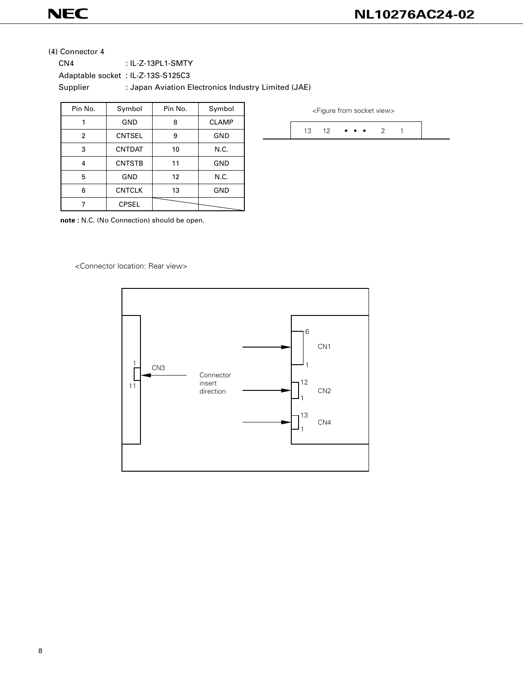# **NEC**

13 12  $\bullet \bullet \bullet \bullet 2$  1

<Figure from socket view>

(4) Connector 4

CN4 : IL-Z-13PL1-SMTY Adaptable socket : IL-Z-13S-S125C3 Supplier : Japan Aviation Electronics Industry Limited (JAE)

| Pin No.        | Symbol        | Pin No. | Symbol       |
|----------------|---------------|---------|--------------|
|                | GND           | 8       | <b>CLAMP</b> |
| $\overline{2}$ | <b>CNTSEL</b> | 9       | GND          |
| 3              | <b>CNTDAT</b> | 10      | N.C.         |
| 4              | <b>CNTSTB</b> | 11      | <b>GND</b>   |
| 5              | <b>GND</b>    | 12      | N.C.         |
| 6              | <b>CNTCLK</b> | 13      | <b>GND</b>   |
|                | <b>CPSEL</b>  |         |              |

**note :** N.C. (No Connection) should be open.

<Connector location: Rear view>

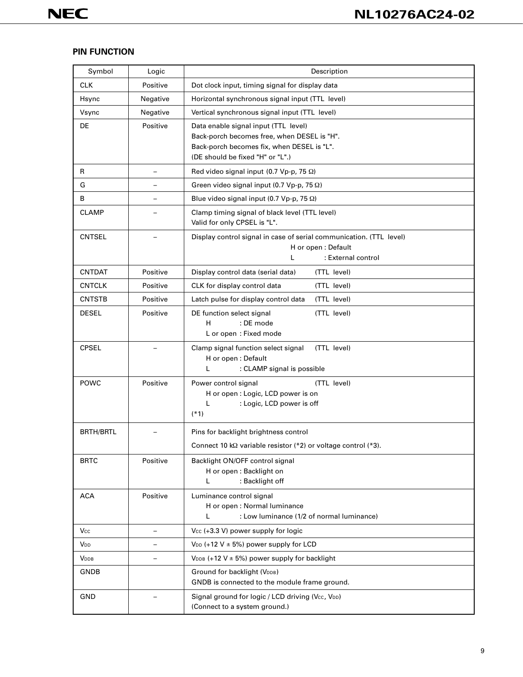# **PIN FUNCTION**

| Symbol           | Logic                    | Description                                                                                                                                                           |  |  |  |  |  |  |  |
|------------------|--------------------------|-----------------------------------------------------------------------------------------------------------------------------------------------------------------------|--|--|--|--|--|--|--|
| <b>CLK</b>       | Positive                 | Dot clock input, timing signal for display data                                                                                                                       |  |  |  |  |  |  |  |
| Hsync            | Negative                 | Horizontal synchronous signal input (TTL level)                                                                                                                       |  |  |  |  |  |  |  |
| Vsync            | Negative                 | Vertical synchronous signal input (TTL level)                                                                                                                         |  |  |  |  |  |  |  |
| DE               | Positive                 | Data enable signal input (TTL level)<br>Back-porch becomes free, when DESEL is "H".<br>Back-porch becomes fix, when DESEL is "L".<br>(DE should be fixed "H" or "L".) |  |  |  |  |  |  |  |
| R                | $\overline{\phantom{0}}$ | Red video signal input (0.7 Vp-p, 75 $\Omega$ )                                                                                                                       |  |  |  |  |  |  |  |
| G                |                          | Green video signal input (0.7 Vp-p, 75 $\Omega$ )                                                                                                                     |  |  |  |  |  |  |  |
| В                | -                        | Blue video signal input (0.7 Vp-p, 75 $\Omega$ )                                                                                                                      |  |  |  |  |  |  |  |
| <b>CLAMP</b>     |                          | Clamp timing signal of black level (TTL level)<br>Valid for only CPSEL is "L".                                                                                        |  |  |  |  |  |  |  |
| <b>CNTSEL</b>    |                          | Display control signal in case of serial communication. (TTL level)<br>H or open: Default<br>: External control<br>L                                                  |  |  |  |  |  |  |  |
| <b>CNTDAT</b>    | Positive                 | Display control data (serial data)<br>(TTL level)                                                                                                                     |  |  |  |  |  |  |  |
| <b>CNTCLK</b>    | Positive                 | CLK for display control data<br>(TTL level)                                                                                                                           |  |  |  |  |  |  |  |
| <b>CNTSTB</b>    | Positive                 | (TTL level)<br>Latch pulse for display control data                                                                                                                   |  |  |  |  |  |  |  |
| <b>DESEL</b>     | Positive                 | (TTL level)<br>DE function select signal<br>H<br>: DE mode<br>L or open: Fixed mode                                                                                   |  |  |  |  |  |  |  |
| <b>CPSEL</b>     |                          | Clamp signal function select signal<br>(TTL level)<br>H or open: Default<br>: CLAMP signal is possible<br>L                                                           |  |  |  |  |  |  |  |
| POWC             | Positive                 | (TTL level)<br>Power control signal<br>H or open : Logic, LCD power is on<br>L<br>: Logic, LCD power is off<br>$(*1)$                                                 |  |  |  |  |  |  |  |
| <b>BRTH/BRTL</b> |                          | Pins for backlight brightness control<br>Connect 10 k $\Omega$ variable resistor (*2) or voltage control (*3).                                                        |  |  |  |  |  |  |  |
| <b>BRTC</b>      | Positive                 | Backlight ON/OFF control signal<br>H or open: Backlight on<br>: Backlight off<br>L                                                                                    |  |  |  |  |  |  |  |
| <b>ACA</b>       | Positive                 | Luminance control signal<br>H or open : Normal luminance<br>: Low luminance (1/2 of normal luminance)<br>L                                                            |  |  |  |  |  |  |  |
| Vcc              | $\overline{\phantom{0}}$ | $Vec$ (+3.3 V) power supply for logic                                                                                                                                 |  |  |  |  |  |  |  |
| V <sub>DD</sub>  |                          | $V_{DD}$ (+12 V $\pm$ 5%) power supply for LCD                                                                                                                        |  |  |  |  |  |  |  |
| <b>V</b> DDB     | —                        | $V_{\text{DDB}}$ (+12 V $\pm$ 5%) power supply for backlight                                                                                                          |  |  |  |  |  |  |  |
| GNDB             |                          | Ground for backlight (VDDB)<br>GNDB is connected to the module frame ground.                                                                                          |  |  |  |  |  |  |  |
| GND              |                          | Signal ground for logic / LCD driving (Vcc, VDD)<br>(Connect to a system ground.)                                                                                     |  |  |  |  |  |  |  |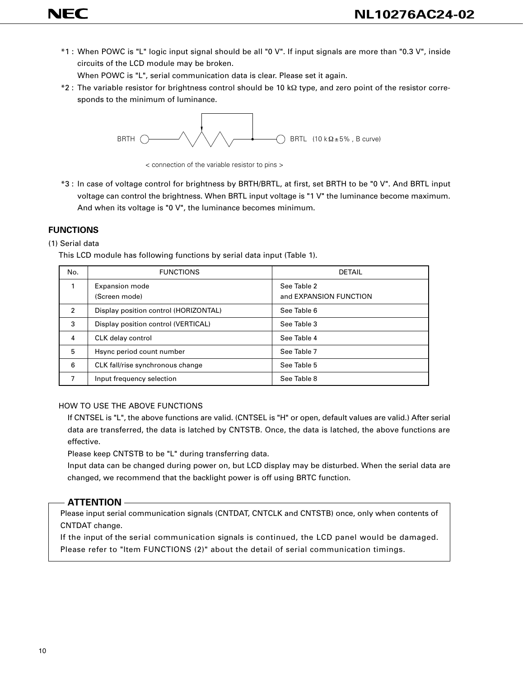\*1 : When POWC is "L" logic input signal should be all "0 V". If input signals are more than "0.3 V", inside circuits of the LCD module may be broken.

When POWC is "L", serial communication data is clear. Please set it again.

\*2 : The variable resistor for brightness control should be 10 kΩ type, and zero point of the resistor corresponds to the minimum of luminance.



< connection of the variable resistor to pins >

\*3 : In case of voltage control for brightness by BRTH/BRTL, at first, set BRTH to be "0 V". And BRTL input voltage can control the brightness. When BRTL input voltage is "1 V" the luminance become maximum. And when its voltage is "0 V", the luminance becomes minimum.

# **FUNCTIONS**

**NEC** 

## (1) Serial data

This LCD module has following functions by serial data input (Table 1).

| No. | <b>FUNCTIONS</b>                       | <b>DETAIL</b>                         |
|-----|----------------------------------------|---------------------------------------|
|     | <b>Expansion mode</b><br>(Screen mode) | See Table 2<br>and EXPANSION FUNCTION |
| 2   | Display position control (HORIZONTAL)  | See Table 6                           |
| 3   | Display position control (VERTICAL)    | See Table 3                           |
| 4   | CLK delay control                      | See Table 4                           |
| 5   | Hsync period count number              | See Table 7                           |
| 6   | CLK fall/rise synchronous change       | See Table 5                           |
| 7   | Input frequency selection              | See Table 8                           |

# HOW TO USE THE ABOVE FUNCTIONS

If CNTSEL is "L", the above functions are valid. (CNTSEL is "H" or open, default values are valid.) After serial data are transferred, the data is latched by CNTSTB. Once, the data is latched, the above functions are effective.

Please keep CNTSTB to be "L" during transferring data.

Input data can be changed during power on, but LCD display may be disturbed. When the serial data are changed, we recommend that the backlight power is off using BRTC function.

# **ATTENTION**

Please input serial communication signals (CNTDAT, CNTCLK and CNTSTB) once, only when contents of CNTDAT change.

If the input of the serial communication signals is continued, the LCD panel would be damaged. Please refer to "Item FUNCTIONS (2)" about the detail of serial communication timings.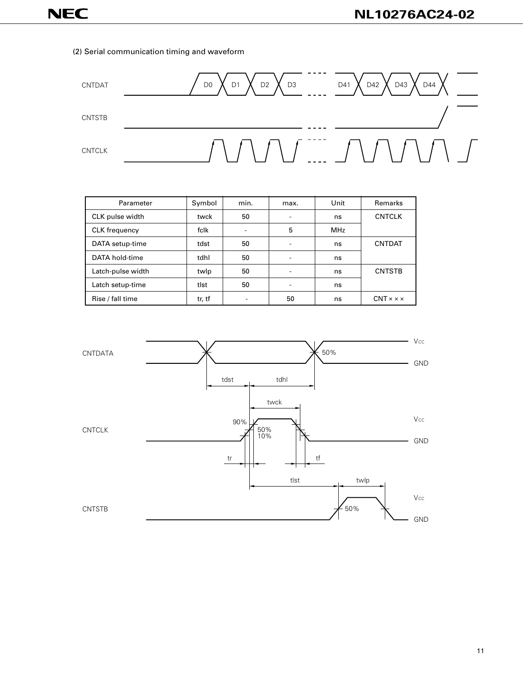#### (2) Serial communication timing and waveform



| Parameter            | Symbol | min.                     | max.                     | Unit       | Remarks                    |
|----------------------|--------|--------------------------|--------------------------|------------|----------------------------|
| CLK pulse width      | twck   | 50                       | ۰                        | ns         | <b>CNTCLK</b>              |
| <b>CLK</b> frequency | fclk   | $\overline{\phantom{a}}$ | 5                        | <b>MHz</b> |                            |
| DATA setup-time      | tdst   | 50                       | $\overline{\phantom{a}}$ | ns         | <b>CNTDAT</b>              |
| DATA hold-time       | tdhl   | 50                       | $\blacksquare$           | ns         |                            |
| Latch-pulse width    | twlp   | 50                       | $\overline{\phantom{a}}$ | ns         | <b>CNTSTB</b>              |
| Latch setup-time     | tlst   | 50                       | -                        | ns         |                            |
| Rise / fall time     | tr, tf |                          | 50                       | ns         | $CNT \times \times \times$ |

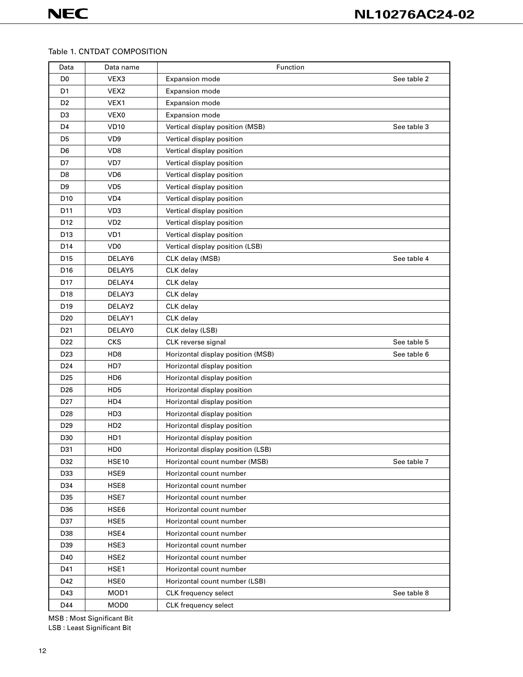# Table 1. CNTDAT COMPOSITION

| Data            | Data name        | Function                          |             |
|-----------------|------------------|-----------------------------------|-------------|
| D <sub>0</sub>  | VEX3             | Expansion mode                    | See table 2 |
| D <sub>1</sub>  | VEX <sub>2</sub> | Expansion mode                    |             |
| D <sub>2</sub>  | VEX1             | Expansion mode                    |             |
| D <sub>3</sub>  | VEX0             | Expansion mode                    |             |
| D <sub>4</sub>  | <b>VD10</b>      | Vertical display position (MSB)   | See table 3 |
| D <sub>5</sub>  | VD <sub>9</sub>  | Vertical display position         |             |
| D <sub>6</sub>  | VD <sub>8</sub>  | Vertical display position         |             |
| D7              | VD7              | Vertical display position         |             |
| D8              | VD <sub>6</sub>  | Vertical display position         |             |
| D <sub>9</sub>  | VD <sub>5</sub>  | Vertical display position         |             |
| D <sub>10</sub> | VD <sub>4</sub>  | Vertical display position         |             |
| D11             | VD <sub>3</sub>  | Vertical display position         |             |
| D <sub>12</sub> | VD <sub>2</sub>  | Vertical display position         |             |
| D13             | VD1              | Vertical display position         |             |
| D14             | VD <sub>0</sub>  | Vertical display position (LSB)   |             |
| D <sub>15</sub> | DELAY6           | CLK delay (MSB)                   | See table 4 |
| D <sub>16</sub> | DELAY5           | CLK delay                         |             |
| D <sub>17</sub> | DELAY4           | CLK delay                         |             |
| D18             | DELAY3           | CLK delay                         |             |
| D <sub>19</sub> | DELAY2           | CLK delay                         |             |
| D <sub>20</sub> | DELAY1           | CLK delay                         |             |
| D <sub>21</sub> | DELAY0           | CLK delay (LSB)                   |             |
| D <sub>22</sub> | <b>CKS</b>       | CLK reverse signal                | See table 5 |
| D <sub>23</sub> | HD <sub>8</sub>  | Horizontal display position (MSB) | See table 6 |
| D <sub>24</sub> | HD7              | Horizontal display position       |             |
| D <sub>25</sub> | HD <sub>6</sub>  | Horizontal display position       |             |
| D <sub>26</sub> | HD <sub>5</sub>  | Horizontal display position       |             |
| D <sub>27</sub> | HD4              | Horizontal display position       |             |
| D <sub>28</sub> | HD <sub>3</sub>  | Horizontal display position       |             |
| D <sub>29</sub> | HD <sub>2</sub>  | Horizontal display position       |             |
| D30             | HD1              | Horizontal display position       |             |
| D31             | H <sub>D</sub>   | Horizontal display position (LSB) |             |
| D32             | <b>HSE10</b>     | Horizontal count number (MSB)     | See table 7 |
| D33             | HSE9             | Horizontal count number           |             |
| D34             | HSE8             | Horizontal count number           |             |
| D35             | HSE7             | Horizontal count number           |             |
| D36             | HSE6             | Horizontal count number           |             |
| D37             | HSE5             | Horizontal count number           |             |
| D38             | HSE4             | Horizontal count number           |             |
| D39             | HSE3             | Horizontal count number           |             |
| D40             | HSE <sub>2</sub> | Horizontal count number           |             |
| D41             | HSE1             | Horizontal count number           |             |
| D42             | HSE0             | Horizontal count number (LSB)     |             |
| D43             | MOD1             | CLK frequency select              | See table 8 |
| D44             | MOD <sub>0</sub> | CLK frequency select              |             |

MSB : Most Significant Bit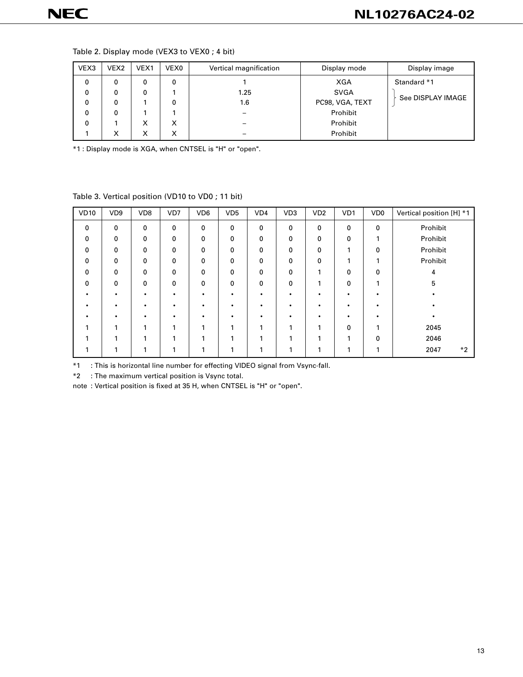| VEX3 | VEX <sub>2</sub> | VEX1 | VEX0 | Vertical magnification | Display mode    | Display image     |
|------|------------------|------|------|------------------------|-----------------|-------------------|
| 0    | 0                | 0    | 0    |                        | XGA             | Standard *1       |
| 0    | 0                | 0    |      | 1.25                   | <b>SVGA</b>     |                   |
| 0    | 0                |      | 0    | 1.6                    | PC98, VGA, TEXT | See DISPLAY IMAGE |
| 0    | 0                |      |      |                        | Prohibit        |                   |
| 0    |                  | X    | x    |                        | Prohibit        |                   |
|      | х                | х    |      |                        | Prohibit        |                   |

#### Table 2. Display mode (VEX3 to VEX0 ; 4 bit)

\*1 : Display mode is XGA, when CNTSEL is "H" or "open".

Table 3. Vertical position (VD10 to VD0 ; 11 bit)

| <b>VD10</b>  | VD <sub>9</sub> | VD <sub>8</sub> | VD7 | VD <sub>6</sub> | VD <sub>5</sub> | VD <sub>4</sub> | VD <sub>3</sub> | VD2 | VD1 | VD <sub>0</sub> | Vertical position [H] *1 |
|--------------|-----------------|-----------------|-----|-----------------|-----------------|-----------------|-----------------|-----|-----|-----------------|--------------------------|
| $\mathbf{0}$ | 0               | 0               | 0   | 0               | $\mathbf{0}$    | 0               | 0               | 0   | 0   | $\mathbf 0$     | Prohibit                 |
| $\Omega$     | 0               | $\mathbf 0$     | 0   | 0               | 0               | 0               | 0               | 0   | 0   | 1               | Prohibit                 |
| $\Omega$     | 0               | 0               | 0   | 0               | 0               | 0               | 0               | 0   | 1   | $\mathbf 0$     | Prohibit                 |
| 0            | 0               | 0               | 0   | 0               | 0               | 0               | 0               | 0   | 4   | ٠               | Prohibit                 |
| $\Omega$     | 0               | 0               | 0   | 0               | 0               | 0               | 0               | ◀   | 0   | 0               | 4                        |
| $\Omega$     | 0               | $\mathbf 0$     | 0   | 0               | 0               | 0               | 0               | 1   | 0   | 1               | 5                        |
|              |                 |                 | ٠   | ٠               |                 |                 | ٠               |     | ٠   |                 |                          |
|              |                 |                 |     | $\bullet$       |                 |                 | ٠               |     |     |                 |                          |
|              |                 |                 |     |                 |                 |                 |                 |     |     |                 |                          |
|              |                 |                 |     |                 |                 |                 | и               |     | 0   |                 | 2045                     |
|              |                 |                 |     |                 |                 |                 |                 |     |     | 0               | 2046                     |
|              |                 |                 |     |                 |                 |                 | ٠               |     | 4   |                 | $*2$<br>2047             |

\*1 : This is horizontal line number for effecting VIDEO signal from Vsync-fall.

\*2 : The maximum vertical position is Vsync total.

note : Vertical position is fixed at 35 H, when CNTSEL is "H" or "open".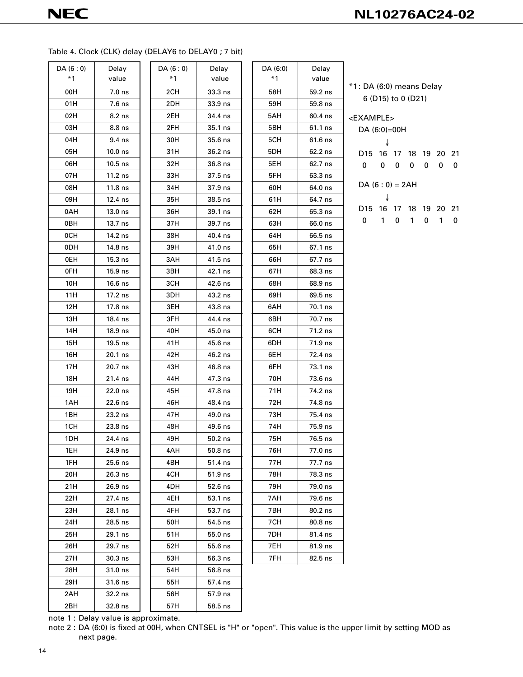#### Table 4. Clock (CLK) delay (DELAY6 to DELAY0 ; 7 bit)

| DA(6:0) | Delay             | DA(6:0) | Delay     |
|---------|-------------------|---------|-----------|
| $*1$    | value             | $*1$    | value     |
| 00H     | 7.0 <sub>ns</sub> | 2CH     | $33.3$ ns |
| 01H     | 7.6 ns            | 2DH     | 33.9 ns   |
| 02H     | 8.2 ns            | 2EH     | 34.4 ns   |
| 03H     | 8.8 ns            | 2FH     | 35.1 ns   |
| 04H     | 9.4 ns            | 30H     | 35.6 ns   |
| 05H     | $10.0$ ns         | 31H     | 36.2 ns   |
| 06H     | $10.5$ ns         | 32H     | 36.8 ns   |
| 07H     | $11.2$ ns         | 33H     | 37.5 ns   |
| 08H     | 11.8 ns           | 34H     | 37.9 ns   |
| 09H     | 12.4 ns           | 35H     | 38.5 ns   |
| 0AH     | $13.0$ ns         | 36H     | 39.1 ns   |
| 0BH     | 13.7 ns           | 37H     | 39.7 ns   |
| 0CH     | 14.2 ns           | 38H     | 40.4 ns   |
| 0DH     | 14.8 ns           | 39H     | 41.0 ns   |
| 0EH     | $15.3$ ns         | 3AH     | 41.5 ns   |
| 0FH     | 15.9 ns           | 3BH     | 42.1 ns   |
| 10H     | $16.6$ ns         | 3CH     | 42.6 ns   |
| 11H     | 17.2 ns           | 3DH     | 43.2 ns   |
| 12H     | 17.8 ns           | 3EH     | 43.8 ns   |
| 13H     | 18.4 ns           | 3FH     | 44.4 ns   |
| 14H     | 18.9 ns           | 40H     | 45.0 ns   |
| 15H     | 19.5 ns           | 41H     | 45.6 ns   |
| 16H     | 20.1 ns           | 42H     | 46.2 ns   |
| 17H     | 20.7 ns           | 43H     | 46.8 ns   |
| 18H     | 21.4 ns           | 44H     | 47.3 ns   |
| 19H     | 22.0 ns           | 45H     | 47.8 ns   |
| 1AH     | 22.6 ns           | 46H     | 48.4 ns   |
| 1BH     | $23.2$ ns         | 47H     | 49.0 ns   |
| 1CH     | 23.8 ns           | 48H     | 49.6 ns   |
| 1DH     | 24.4 ns           | 49H     | $50.2$ ns |
| 1EH     | 24.9 ns           | 4AH     | 50.8 ns   |
| 1FH     | 25.6 ns           | 4BH     | 51.4 ns   |
| 20H     | 26.3 ns           | 4CH     | 51.9 ns   |
| 21H     | 26.9 ns           | 4DH     | 52.6 ns   |
| 22H     | 27.4 ns           | 4EH     | 53.1 ns   |
| 23H     | 28.1 ns           | 4FH     | 53.7 ns   |
| 24H     | 28.5 ns           | 50H     | 54.5 ns   |
|         |                   |         |           |
| 25H     | 29.1 ns           | 51H     | 55.0 ns   |
| 26H     | 29.7 ns           | 52H     | 55.6 ns   |
| 27H     | 30.3 ns           | 53H     | 56.3 ns   |
| 28H     | 31.0 ns           | 54H     | 56.8 ns   |
| 29H     | 31.6 ns           | 55H     | 57.4 ns   |
| 2AH     | 32.2 ns           | 56H     | 57.9 ns   |
| 2BH     | 32.8 ns           | 57H     | 58.5 ns   |

| (6:0)<br>$*1$ | Delay<br>value | DA (6:0)<br>$*1$ | Delay<br>value |
|---------------|----------------|------------------|----------------|
| 2CH           | 33.3 ns        | 58H              | 59.2 ns        |
| 2DH           | 33.9 ns        | 59H              | 59.8 ns        |
| 2EH           | 34.4 ns        | 5AH              | 60.4 ns        |
| 2FH           | 35.1 ns        | 5BH              | 61.1 ns        |
| 30H           | 35.6 ns        | 5CH              | $61.6$ ns      |
| 31H           | 36.2 ns        | 5DH              | 62.2 ns        |
| 32H           | 36.8 ns        | 5EH              | 62.7 ns        |
| 33H           | 37.5 ns        | 5FH              | 63.3 ns        |
| 34H           | 37.9 ns        | 60H              | 64.0 ns        |
| 35H           | 38.5 ns        | 61H              | 64.7 ns        |
| 36H           | 39.1 ns        | 62H              | 65.3 ns        |
| 37 H          | 39.7 ns        | 63H              | 66.0 ns        |
| 38H           | 40.4 ns        | 64H              | 66.5 ns        |
| 39H           | 41.0 ns        | 65H              | 67.1 ns        |
| 3AH           | 41.5 ns        | 66H              | 67.7 ns        |
| звн           | 42.1 ns        | 67H              | 68.3 ns        |
| зсн           | 42.6 ns        | 68H              | 68.9 ns        |
| 3DH           | 43.2 ns        | 69H              | 69.5 ns        |
| 3EH           | 43.8 ns        | 6AH              | 70.1 ns        |
| 3FH           | 44.4 ns        | 6BH              | 70.7 ns        |
| 40H           | 45.0 ns        | 6CH              | 71.2 ns        |
| 41H           | 45.6 ns        | 6DH              | 71.9 ns        |
| 42H           | 46.2 ns        | 6EH              | 72.4 ns        |
| 43H           | 46.8 ns        | 6FH              | 73.1 ns        |
| 44H           | 47.3 ns        | 70H              | 73.6 ns        |
| 45H           | 47.8 ns        | 71H              | 74.2 ns        |
| 46H           | 48.4 ns        | 72H              | 74.8 ns        |
| 47H           | 49.0 ns        | 73H              | 75.4 ns        |
| 48H           | 49.6 ns        | 74H              | 75.9 ns        |
| 49H           | 50.2 ns        | 75H              | 76.5 ns        |
| 4AH           | 50.8 ns        | 76H              | 77.0 ns        |
| 4BH           | 51.4 ns        | 77H              | 77.7 ns        |
| 4CH           | 51.9 ns        | 78H              | 78.3 ns        |
| 4DH           | 52.6 ns        | 79H              | 79.0 ns        |
| 4EH           | 53.1 ns        | 7AH              | 79.6 ns        |
| 4FH           | 53.7 ns        | 7BH              | 80.2 ns        |
| 50H           | 54.5 ns        | 7CH              | 80.8 ns        |
| 51H           | 55.0 ns        | 7DH              | 81.4 ns        |
| 52H           | 55.6 ns        | 7EH              | 81.9 ns        |
| 53H           | 56.3 ns        | 7FH              | 82.5 ns        |
| 54H           | 56.8 ns        |                  |                |
| 55H           | 57.4 ns        |                  |                |
| 56H           | 57.9 ns        |                  |                |

\*1 : DA (6:0) means Delay 6 (D15) to 0 (D21) <EXAMPLE> DA (6:0)=00H ↓ D15 16 17 18 19 20 21 0 000000  $DA (6:0) = 2AH$ ↓ D15 16 17 18 19 20 21

0 101010

note 1 : Delay value is approximate.

note 2 : DA (6:0) is fixed at 00H, when CNTSEL is "H" or "open". This value is the upper limit by setting MOD as next page.

 $58.5$  ns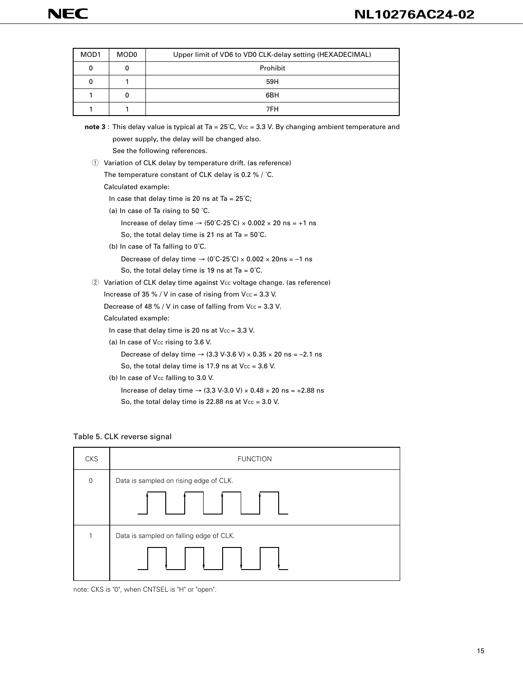| MOD1 | MOD0 | Upper limit of VD6 to VD0 CLK-delay setting (HEXADECIMAL) |
|------|------|-----------------------------------------------------------|
|      |      | Prohibit                                                  |
|      |      | 59H                                                       |
|      | 0    | 6BH                                                       |
|      |      | 7FH                                                       |

| note 3 : This delay value is typical at Ta = $25^{\circ}$ C, Vcc = 3.3 V. By changing ambient temperature and |
|---------------------------------------------------------------------------------------------------------------|
| power supply, the delay will be changed also.                                                                 |
| See the following references.                                                                                 |
| (1) Variation of CLK delay by temperature drift. (as reference)                                               |
| The temperature constant of CLK delay is 0.2 % / $^{\circ}$ C.                                                |
| Calculated example:                                                                                           |
| In case that delay time is 20 ns at Ta = $25^{\circ}$ C;                                                      |
| (a) In case of Ta rising to 50 °C.                                                                            |
| Increase of delay time $\rightarrow$ (50°C-25°C) $\times$ 0.002 $\times$ 20 ns = +1 ns                        |
| So, the total delay time is 21 ns at Ta = $50^{\circ}$ C.                                                     |
| (b) In case of Ta falling to $0^{\circ}$ C.                                                                   |
| Decrease of delay time $\rightarrow$ (0°C-25°C) $\times$ 0.002 $\times$ 20ns = -1 ns                          |
| So, the total delay time is 19 ns at Ta = $0^{\circ}$ C.                                                      |
| Variation of CLK delay time against Vcc voltage change. (as reference)<br>(2)                                 |
| Increase of 35 % / V in case of rising from $Vec = 3.3$ V.                                                    |
| Decrease of 48 % / V in case of falling from $Vec = 3.3$ V.                                                   |
| Calculated example:                                                                                           |
| In case that delay time is 20 ns at $Vec = 3.3$ V.                                                            |
| (a) In case of V <sub>cc</sub> rising to 3.6 V.                                                               |
| Decrease of delay time $\rightarrow$ (3.3 V-3.6 V) $\times$ 0.35 $\times$ 20 ns = -2.1 ns                     |
| So, the total delay time is 17.9 ns at $Vec = 3.6$ V.                                                         |
| (b) In case of V <sub>cc</sub> falling to 3.0 V.                                                              |
| Increase of delay time $\rightarrow$ (3.3 V-3.0 V) $\times$ 0.48 $\times$ 20 ns = +2.88 ns                    |
| So, the total delay time is 22.88 ns at $Vec = 3.0$ V.                                                        |
|                                                                                                               |

Table 5. CLK reverse signal



note: CKS is "0", when CNTSEL is "H" or "open".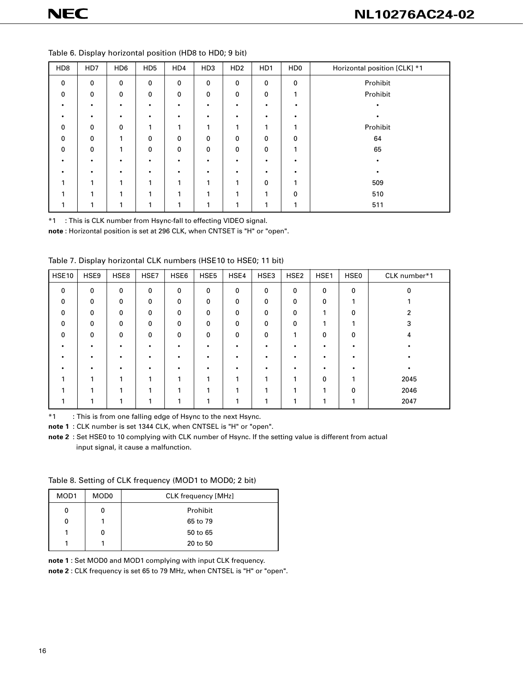| HD <sub>8</sub> | HD7 | HD <sub>6</sub> | HD <sub>5</sub> | HD4         | HD <sub>3</sub> | HD <sub>2</sub> | HD1       | HD <sub>0</sub> | Horizontal position [CLK] *1 |
|-----------------|-----|-----------------|-----------------|-------------|-----------------|-----------------|-----------|-----------------|------------------------------|
| $\mathbf 0$     | 0   | $\mathbf 0$     | $\mathbf 0$     | 0           | $\mathbf 0$     | $\mathbf 0$     | 0         | $\mathbf 0$     | Prohibit                     |
| $\mathbf 0$     | 0   | $\mathbf 0$     | 0               | $\mathbf 0$ | $\mathbf 0$     | 0               | 0         |                 | Prohibit                     |
|                 |     | $\bullet$       | $\bullet$       | $\bullet$   | $\bullet$       | ٠               | ٠         |                 |                              |
| ٠               |     | $\bullet$       | $\bullet$       |             | $\bullet$       | ٠               | $\bullet$ |                 |                              |
| $\mathbf 0$     | 0   | $\mathbf 0$     | и               | 1           | 1               | 1               | ٠         |                 | Prohibit                     |
| $\mathbf 0$     | 0   | 1               | 0               | $\mathbf 0$ | 0               | 0               | 0         | $\mathbf{0}$    | 64                           |
| $\mathbf 0$     | 0   | 1               | 0               | $\mathbf 0$ | $\mathbf 0$     | 0               | 0         |                 | 65                           |
| ٠               |     |                 | $\bullet$       |             | $\bullet$       |                 | ٠         |                 |                              |
|                 |     | $\bullet$       | $\bullet$       |             | ٠               | ٠               | $\bullet$ |                 |                              |
|                 | и   | 1               |                 | 1           | 1               | 1               | 0         |                 | 509                          |
|                 | и   |                 | и               | 1           |                 | 4               | и         | $\mathbf{0}$    | 510                          |
|                 |     |                 |                 |             |                 | л               |           |                 | 511                          |

Table 6. Display horizontal position (HD8 to HD0; 9 bit)

\*1 : This is CLK number from Hsync-fall to effecting VIDEO signal.

**note** : Horizontal position is set at 296 CLK, when CNTSET is "H" or "open".

| Table 7. Display horizontal CLK numbers (HSE10 to HSE0; 11 bit) |
|-----------------------------------------------------------------|
|                                                                 |

| <b>HSE10</b> | HSE9 | HSE8        | HSE7 | HSE6        | HSE <sub>5</sub> | HSE4 | HSE3 | HSE <sub>2</sub> | HSE1 | HSE0 | CLK number*1 |
|--------------|------|-------------|------|-------------|------------------|------|------|------------------|------|------|--------------|
| $\mathbf 0$  | 0    | 0           | 0    | 0           | 0                | 0    | 0    | $\mathbf 0$      | 0    | 0    | 0            |
| $\mathbf 0$  | 0    | $\mathbf 0$ | 0    | 0           | 0                | 0    | 0    | $\mathbf 0$      | 0    |      |              |
| $\Omega$     | 0    | $\mathbf 0$ | 0    | $\mathbf 0$ | 0                | 0    | 0    | $\mathbf 0$      |      | 0    |              |
| $\mathbf 0$  | 0    | $\mathbf 0$ | 0    | 0           | $\mathbf 0$      | 0    | 0    | $\mathbf 0$      |      |      | 3            |
| $\mathbf 0$  | 0    | 0           | 0    | 0           | 0                | 0    | 0    | л                | 0    | 0    | 4            |
|              |      |             |      |             |                  | ٠    | ٠    |                  |      |      |              |
|              |      |             |      |             |                  |      | ٠    |                  |      |      |              |
|              |      |             |      |             |                  |      | ٠    |                  |      |      |              |
|              |      |             |      |             |                  |      | 1    |                  | 0    |      | 2045         |
|              |      | ٠           |      |             |                  | и    | и    |                  |      | 0    | 2046         |
|              |      |             |      |             |                  |      | и    |                  |      |      | 2047         |

\*1 : This is from one falling edge of Hsync to the next Hsync.

**note 1** : CLK number is set 1344 CLK, when CNTSEL is "H" or "open".

**note 2** : Set HSE0 to 10 complying with CLK number of Hsync. If the setting value is different from actual input signal, it cause a malfunction.

Table 8. Setting of CLK frequency (MOD1 to MOD0; 2 bit)

| MOD <sub>1</sub> | MOD0 | <b>CLK frequency [MHz]</b> |  |  |  |
|------------------|------|----------------------------|--|--|--|
| 0                | 0    | Prohibit                   |  |  |  |
| 0                |      | 65 to 79                   |  |  |  |
|                  | 0    | 50 to 65                   |  |  |  |
|                  |      | 20 to 50                   |  |  |  |

**note 1** : Set MOD0 and MOD1 complying with input CLK frequency.

**note 2** : CLK frequency is set 65 to 79 MHz, when CNTSEL is "H" or "open".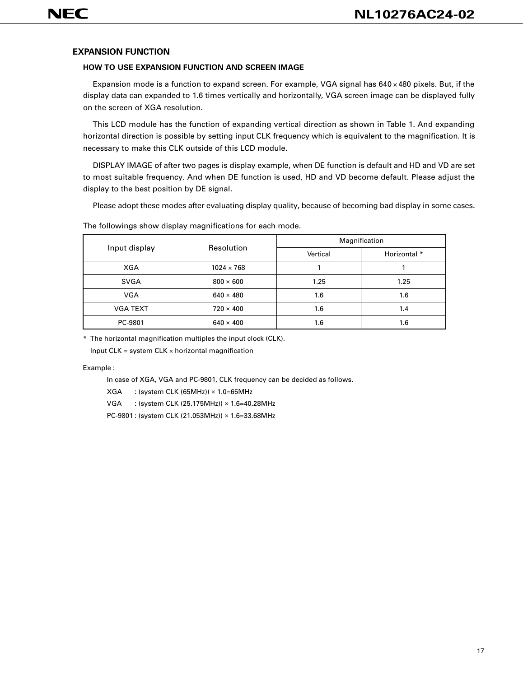# **EXPANSION FUNCTION**

#### **HOW TO USE EXPANSION FUNCTION AND SCREEN IMAGE**

Expansion mode is a function to expand screen. For example, VGA signal has 640 × 480 pixels. But, if the display data can expanded to 1.6 times vertically and horizontally, VGA screen image can be displayed fully on the screen of XGA resolution.

This LCD module has the function of expanding vertical direction as shown in Table 1. And expanding horizontal direction is possible by setting input CLK frequency which is equivalent to the magnification. It is necessary to make this CLK outside of this LCD module.

DISPLAY IMAGE of after two pages is display example, when DE function is default and HD and VD are set to most suitable frequency. And when DE function is used, HD and VD become default. Please adjust the display to the best position by DE signal.

Please adopt these modes after evaluating display quality, because of becoming bad display in some cases.

|                 | Resolution        | Magnification |              |  |  |
|-----------------|-------------------|---------------|--------------|--|--|
| Input display   |                   | Vertical      | Horizontal * |  |  |
| <b>XGA</b>      | $1024 \times 768$ |               |              |  |  |
| <b>SVGA</b>     | $800 \times 600$  | 1.25          | 1.25         |  |  |
| VGA             | $640 \times 480$  | 1.6           | 1.6          |  |  |
| <b>VGA TEXT</b> | $720 \times 400$  | 1.6           | 1.4          |  |  |
| PC-9801         | $640 \times 400$  | 1.6           | 1.6          |  |  |

The followings show display magnifications for each mode.

\* The horizontal magnification multiples the input clock (CLK).

Input  $CLK = system CLK \times horizontal$  magnification

Example :

In case of XGA, VGA and PC-9801, CLK frequency can be decided as follows.

XGA : (system CLK (65MHz)) × 1.0=65MHz

VGA : (system CLK (25.175MHz)) × 1.6=40.28MHz

PC-9801 : (system CLK (21.053MHz)) × 1.6=33.68MHz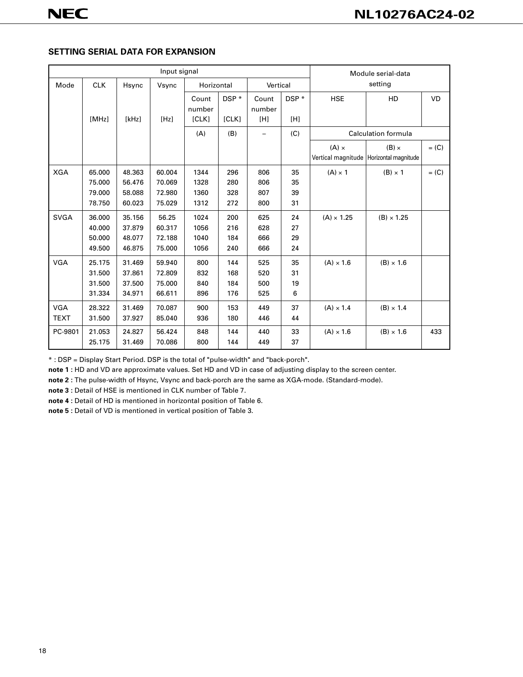# **SETTING SERIAL DATA FOR EXPANSION**

| Input signal |            |        |        |                 |       |                 |       |                   | Module serial-data                                        |           |
|--------------|------------|--------|--------|-----------------|-------|-----------------|-------|-------------------|-----------------------------------------------------------|-----------|
| Mode         | <b>CLK</b> | Hsync  | Vsync  | Horizontal      |       | Vertical        |       | setting           |                                                           |           |
|              |            |        |        | Count<br>number | DSP * | Count<br>number | DSP * | <b>HSE</b>        | HD                                                        | <b>VD</b> |
|              | [MHz]      | [kHz]  | [Hz]   | [CLK]           | [CLK] | [H]             | [H]   |                   |                                                           |           |
|              |            |        |        | (A)             | (B)   |                 | (C)   |                   | <b>Calculation formula</b>                                |           |
|              |            |        |        |                 |       |                 |       | $(A) \times$      | $(B) \times$<br>Vertical magnitude   Horizontal magnitude | $= (C)$   |
| <b>XGA</b>   | 65.000     | 48.363 | 60.004 | 1344            | 296   | 806             | 35    | $(A) \times 1$    | $(B) \times 1$                                            | $= (C)$   |
|              | 75.000     | 56.476 | 70.069 | 1328            | 280   | 806             | 35    |                   |                                                           |           |
|              | 79.000     | 58.088 | 72.980 | 1360            | 328   | 807             | 39    |                   |                                                           |           |
|              | 78.750     | 60.023 | 75.029 | 1312            | 272   | 800             | 31    |                   |                                                           |           |
| <b>SVGA</b>  | 36.000     | 35.156 | 56.25  | 1024            | 200   | 625             | 24    | $(A) \times 1.25$ | $(B) \times 1.25$                                         |           |
|              | 40.000     | 37.879 | 60.317 | 1056            | 216   | 628             | 27    |                   |                                                           |           |
|              | 50.000     | 48.077 | 72.188 | 1040            | 184   | 666             | 29    |                   |                                                           |           |
|              | 49.500     | 46.875 | 75.000 | 1056            | 240   | 666             | 24    |                   |                                                           |           |
| <b>VGA</b>   | 25.175     | 31.469 | 59.940 | 800             | 144   | 525             | 35    | $(A) \times 1.6$  | $(B) \times 1.6$                                          |           |
|              | 31.500     | 37.861 | 72.809 | 832             | 168   | 520             | 31    |                   |                                                           |           |
|              | 31.500     | 37.500 | 75.000 | 840             | 184   | 500             | 19    |                   |                                                           |           |
|              | 31.334     | 34.971 | 66.611 | 896             | 176   | 525             | 6     |                   |                                                           |           |
| <b>VGA</b>   | 28.322     | 31.469 | 70.087 | 900             | 153   | 449             | 37    | $(A) \times 1.4$  | $(B) \times 1.4$                                          |           |
| <b>TEXT</b>  | 31.500     | 37.927 | 85.040 | 936             | 180   | 446             | 44    |                   |                                                           |           |
| PC-9801      | 21.053     | 24.827 | 56.424 | 848             | 144   | 440             | 33    | $(A) \times 1.6$  | $(B) \times 1.6$                                          | 433       |
|              | 25.175     | 31.469 | 70.086 | 800             | 144   | 449             | 37    |                   |                                                           |           |

\* : DSP = Display Start Period. DSP is the total of "pulse-width" and "back-porch".

**note 1 :** HD and VD are approximate values. Set HD and VD in case of adjusting display to the screen center.

**note 2 :** The pulse-width of Hsync, Vsync and back-porch are the same as XGA-mode. (Standard-mode).

**note 3 :** Detail of HSE is mentioned in CLK number of Table 7.

**note 4 :** Detail of HD is mentioned in horizontal position of Table 6.

**note 5 :** Detail of VD is mentioned in vertical position of Table 3.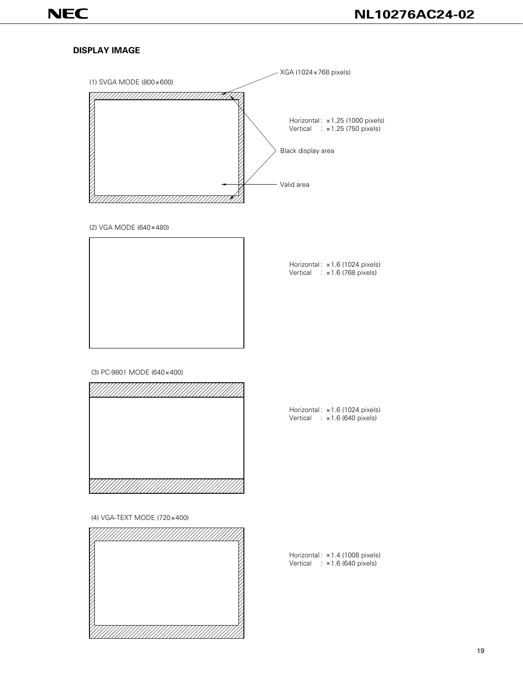# **DISPLAY IMAGE**



(2) VGA MODE (640×480)



Horizontal: ×1.6 (1024 pixels) Vertical : ×1.6 (768 pixels)

(3) PC-9801 MODE (640×400)



Horizontal: x1.6 (1024 pixels) Vertical : ×1.6 (640 pixels)

(4) VGA-TEXT MODE (720×400)



Horizontal: ×1.4 (1008 pixels) Vertical : ×1.6 (640 pixels)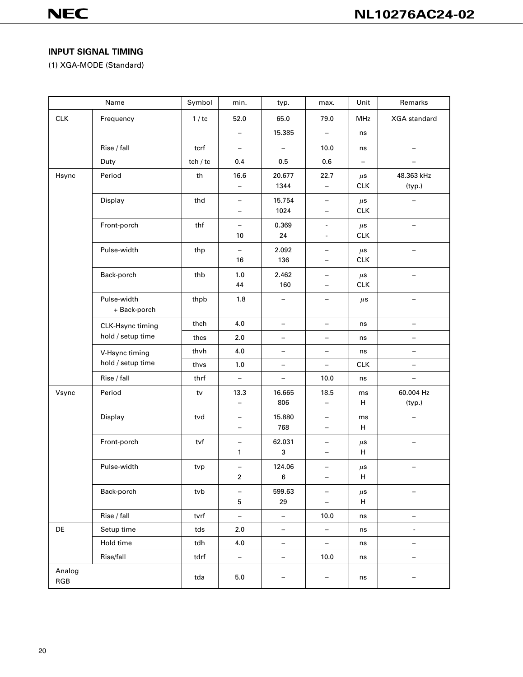# **INPUT SIGNAL TIMING**

(1) XGA-MODE (Standard)

| Name             |                   | Symbol   | min.                     | typ.                     | max.                          | Unit                  | Remarks                  |
|------------------|-------------------|----------|--------------------------|--------------------------|-------------------------------|-----------------------|--------------------------|
| CLK<br>Frequency |                   | 1/tc     | 52.0                     | 65.0                     | 79.0                          | <b>MHz</b>            | <b>XGA</b> standard      |
|                  |                   |          | $\overline{\phantom{0}}$ | 15.385                   |                               | ns                    |                          |
|                  | Rise / fall       | tcrf     | $\overline{\phantom{0}}$ | $\overline{\phantom{0}}$ | 10.0                          | ns                    |                          |
|                  | Duty              | tch / tc | 0.4                      | 0.5                      | 0.6                           | $\qquad \qquad -$     | $\overline{\phantom{0}}$ |
| Hsync            | Period            | th       | 16.6                     | 20.677                   | 22.7                          | $\mu$ s               | 48.363 kHz               |
|                  |                   |          | $\overline{\phantom{m}}$ | 1344                     | $\qquad \qquad -$             | <b>CLK</b>            | (typ.)                   |
|                  | Display           | thd      | $\overline{\phantom{0}}$ | 15.754                   | $\overline{\phantom{m}}$      | $\mu$ s               |                          |
|                  |                   |          | —                        | 1024                     | $\overline{\phantom{0}}$      | <b>CLK</b>            |                          |
|                  | Front-porch       | thf      | $\overline{\phantom{0}}$ | 0.369                    |                               | $\mu$ s               |                          |
|                  |                   |          | 10                       | 24                       |                               | <b>CLK</b>            |                          |
|                  | Pulse-width       | thp      | 16                       | 2.092<br>136             |                               | $\mu$ s<br><b>CLK</b> |                          |
|                  |                   |          |                          |                          |                               |                       |                          |
|                  | Back-porch        | thb      | 1.0<br>44                | 2.462<br>160             | $\qquad \qquad -$             | $\mu$ s<br><b>CLK</b> |                          |
|                  | Pulse-width       | thpb     | 1.8                      | -                        | $\qquad \qquad -$             |                       | $\overline{\phantom{0}}$ |
|                  | + Back-porch      |          |                          |                          |                               | $\mu$ s               |                          |
|                  | CLK-Hsync timing  | thch     | 4.0                      | $\qquad \qquad -$        | $\overline{\phantom{m}}$      | ns                    | $\qquad \qquad -$        |
|                  | hold / setup time | thcs     | 2.0                      |                          |                               | ns                    |                          |
|                  | V-Hsync timing    | thvh     | 4.0                      | $\overline{\phantom{0}}$ | $\overline{\phantom{0}}$      | ns                    | $\overline{\phantom{0}}$ |
|                  | hold / setup time | thvs     | 1.0                      | $\qquad \qquad -$        | $\overline{\phantom{0}}$      | <b>CLK</b>            | $\qquad \qquad -$        |
|                  | Rise / fall       | thrf     | $\qquad \qquad -$        |                          | 10.0                          | ns                    |                          |
| Vsync            | Period            | tv       | 13.3                     | 16.665                   | 18.5                          | ms                    | 60.004 Hz                |
|                  |                   |          | $\equiv$                 | 806                      | $\equiv$                      | н                     | (typ.)                   |
|                  | Display           | tvd      | $\overline{\phantom{0}}$ | 15.880                   | $\overline{\phantom{0}}$      | ms                    |                          |
|                  |                   |          | $\overline{\phantom{0}}$ | 768                      | $\qquad \qquad -$             | H                     |                          |
|                  | Front-porch       | tvf      | $\qquad \qquad -$        | 62.031                   |                               | $\mu$ s               |                          |
|                  |                   |          | 1                        | 3                        | $\overline{\phantom{0}}$      | Н                     |                          |
|                  | Pulse-width       | tvp      | $\overline{\phantom{0}}$ | 124.06                   |                               | $\mu$ s               |                          |
|                  |                   |          | 2                        | 6                        |                               | $\sf H$               |                          |
|                  | Back-porch        | tvb      | $\qquad \qquad -$<br>5   | 599.63<br>29             | -<br>$\overline{\phantom{a}}$ | $\mu$ s<br>н          |                          |
|                  |                   |          |                          | $\equiv$                 |                               |                       |                          |
|                  | Rise / fall       | tvrf     | $\overline{\phantom{a}}$ |                          | 10.0                          | ns                    | $\overline{\phantom{0}}$ |
| DE               | Setup time        | tds      | 2.0                      | $\qquad \qquad -$        | $\overline{\phantom{a}}$      | ns                    | $\overline{\phantom{a}}$ |
|                  | Hold time         | tdh      | $4.0\,$                  | $\overline{\phantom{0}}$ | $\overline{\phantom{0}}$      | ns                    | $\overline{\phantom{0}}$ |
| Rise/fall        |                   | tdrf     | $\overline{\phantom{a}}$ | $\overline{\phantom{0}}$ | 10.0                          | ns                    | $\overline{\phantom{0}}$ |
| Analog           |                   | tda      | $5.0\,$                  |                          |                               | ns                    |                          |
| RGB              |                   |          |                          |                          |                               |                       |                          |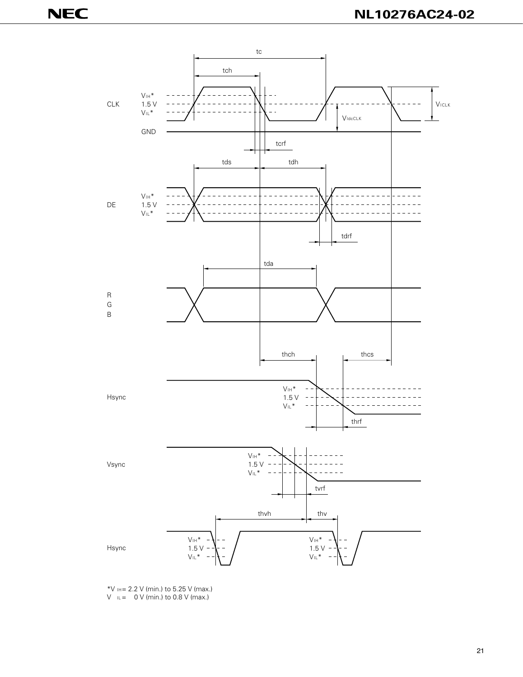

\*V  $H = 2.2$  V (min.) to 5.25 V (max.)  $V \leq 0$  V (min.) to 0.8 V (max.)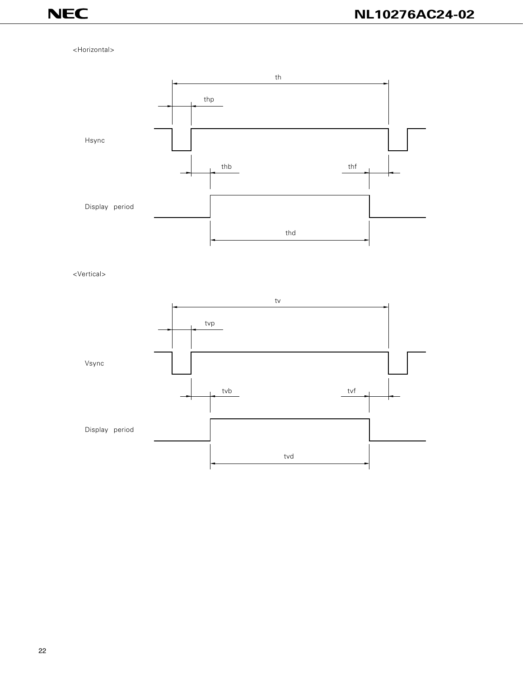#### <Horizontal>



<Vertical>

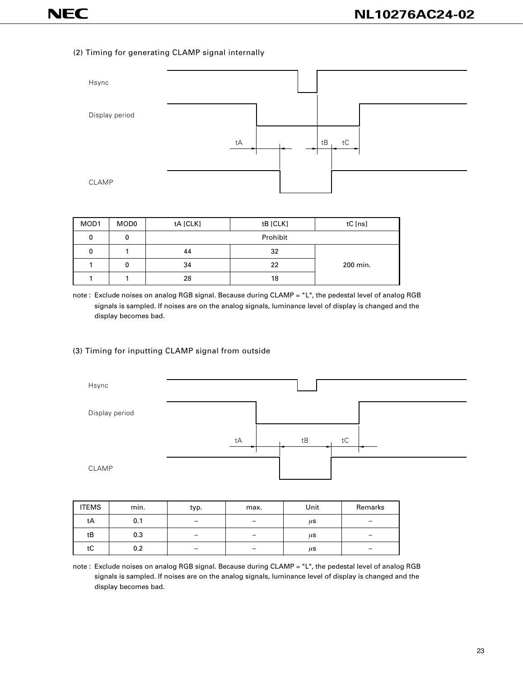#### (2) Timing for generating CLAMP signal internally



| MOD1 | MOD <sub>0</sub> | tA [CLK] | tB [CLK] | tC [ns]  |
|------|------------------|----------|----------|----------|
| 0    | 0                |          | Prohibit |          |
| 0    |                  | 44       | 32       |          |
|      | 0                | 34       | 22       | 200 min. |
|      |                  | 28       | 18       |          |

note : Exclude noises on analog RGB signal. Because during CLAMP = "L", the pedestal level of analog RGB signals is sampled. If noises are on the analog signals, luminance level of display is changed and the display becomes bad.

#### (3) Timing for inputting CLAMP signal from outside



| <b>ITEMS</b> | min. | typ. | max. | Unit    | Remarks |
|--------------|------|------|------|---------|---------|
| tA           | 0.1  |      |      | $\mu$ s |         |
| tB           | 0.3  |      |      | μS      |         |
| tC           | 0.2  | -    |      | μS      | -       |

note : Exclude noises on analog RGB signal. Because during CLAMP = "L", the pedestal level of analog RGB signals is sampled. If noises are on the analog signals, luminance level of display is changed and the display becomes bad.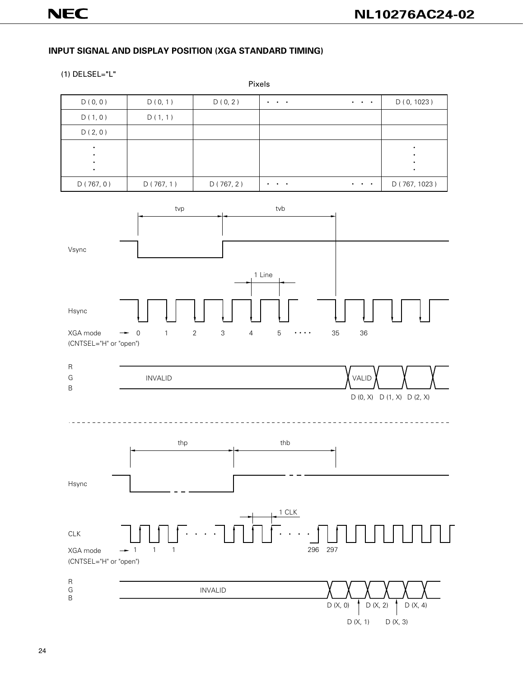# **INPUT SIGNAL AND DISPLAY POSITION (XGA STANDARD TIMING)**

#### (1) DELSEL="L"

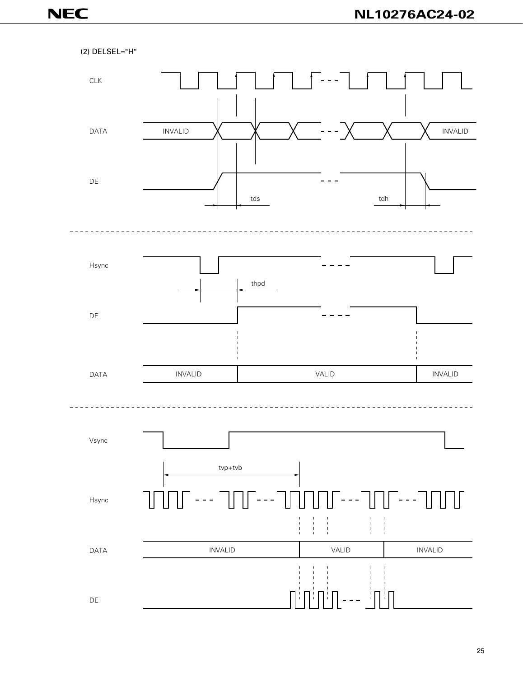(2) DELSEL="H" CLK DATA INVALID X X X --- X X X INVALID DE tds tdh Hsync thpd DE DATA INVALID VALID INVALID Vsync tvp+tvb $- - -$ Hsync  $\begin{array}{c} 1 \\ 1 \\ 1 \end{array}$  $\frac{1}{1}$ INVALID INVALID VALID DATA

DE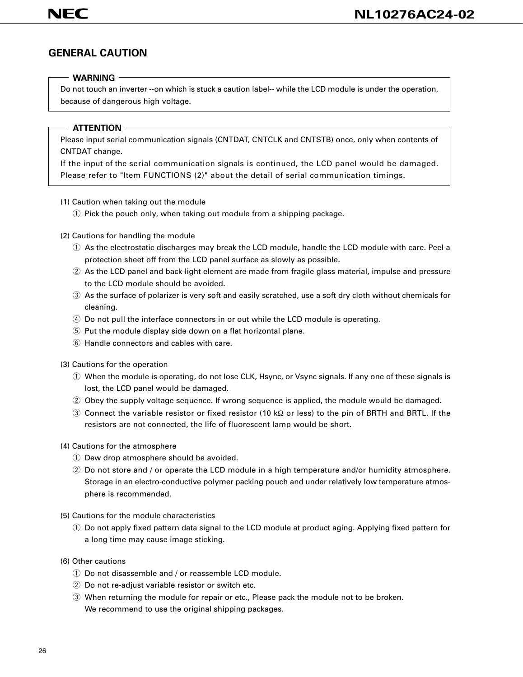# **GENERAL CAUTION**

## **WARNING**

Do not touch an inverter --on which is stuck a caution label-- while the LCD module is under the operation, because of dangerous high voltage.

# **ATTENTION**

Please input serial communication signals (CNTDAT, CNTCLK and CNTSTB) once, only when contents of CNTDAT change.

If the input of the serial communication signals is continued, the LCD panel would be damaged. Please refer to "Item FUNCTIONS (2)" about the detail of serial communication timings.

- (1) Caution when taking out the module
	- $\odot$  Pick the pouch only, when taking out module from a shipping package.
- (2) Cautions for handling the module
	- $Q$  As the electrostatic discharges may break the LCD module, handle the LCD module with care. Peel a protection sheet off from the LCD panel surface as slowly as possible.
	- 2 As the LCD panel and back-light element are made from fragile glass material, impulse and pressure to the LCD module should be avoided.
	- 3) As the surface of polarizer is very soft and easily scratched, use a soft dry cloth without chemicals for cleaning.
	- 4 Do not pull the interface connectors in or out while the LCD module is operating.
	- $\circled{5}$  Put the module display side down on a flat horizontal plane.
	- $\circled$  Handle connectors and cables with care.
- (3) Cautions for the operation
	- $\odot$  When the module is operating, do not lose CLK, Hsync, or Vsync signals. If any one of these signals is lost, the LCD panel would be damaged.
	- 2 Obey the supply voltage sequence. If wrong sequence is applied, the module would be damaged.
	- e Connect the variable resistor or fixed resistor (10 kΩ or less) to the pin of BRTH and BRTL. If the resistors are not connected, the life of fluorescent lamp would be short.
- (4) Cautions for the atmosphere
	- $\circled{1}$  Dew drop atmosphere should be avoided.
	- $\oslash$  Do not store and / or operate the LCD module in a high temperature and/or humidity atmosphere. Storage in an electro-conductive polymer packing pouch and under relatively low temperature atmosphere is recommended.
- (5) Cautions for the module characteristics
	- $\odot$  Do not apply fixed pattern data signal to the LCD module at product aging. Applying fixed pattern for a long time may cause image sticking.
- (6) Other cautions
	- $\Omega$  Do not disassemble and / or reassemble LCD module.
	- $(2)$  Do not re-adjust variable resistor or switch etc.
	- 3) When returning the module for repair or etc., Please pack the module not to be broken. We recommend to use the original shipping packages.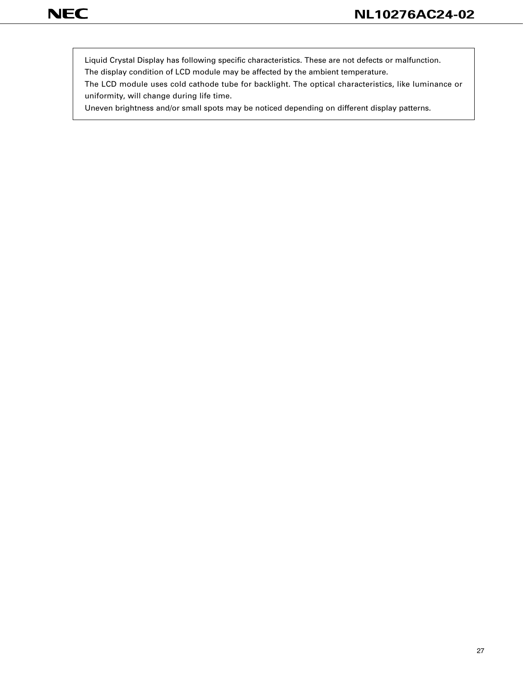Liquid Crystal Display has following specific characteristics. These are not defects or malfunction.

The display condition of LCD module may be affected by the ambient temperature.

The LCD module uses cold cathode tube for backlight. The optical characteristics, like luminance or uniformity, will change during life time.

Uneven brightness and/or small spots may be noticed depending on different display patterns.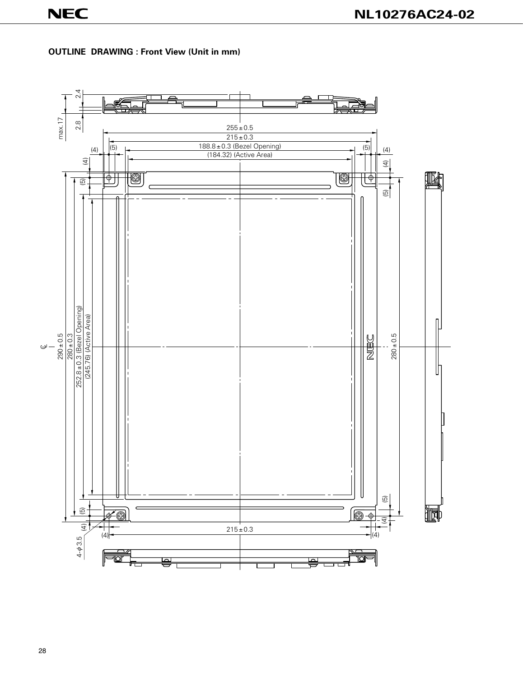# **OUTLINE DRAWING : Front View (Unit in mm)**

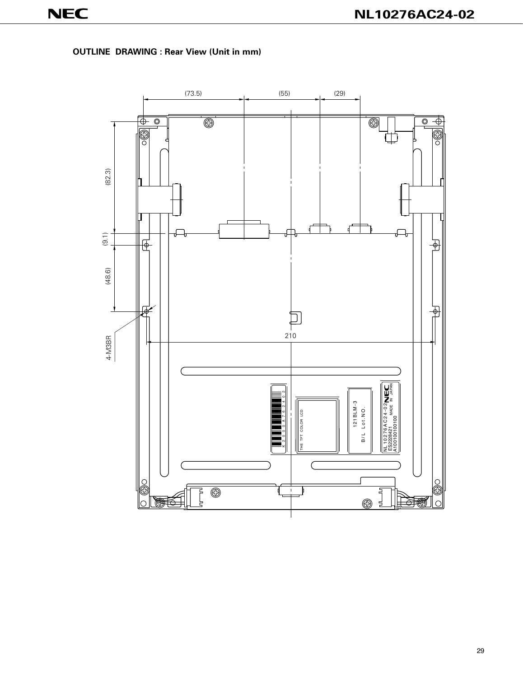**OUTLINE DRAWING : Rear View (Unit in mm)**